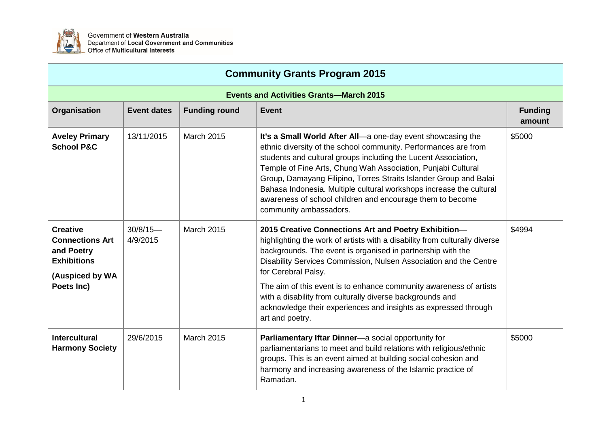

Government of Western Australia<br>Department of Local Government and Communities Office of Multicultural Interests

| <b>Community Grants Program 2015</b>                                                             |                         |                      |                                                                                                                                                                                                                                                                                                                                                                                                                                                                                                     |                          |  |
|--------------------------------------------------------------------------------------------------|-------------------------|----------------------|-----------------------------------------------------------------------------------------------------------------------------------------------------------------------------------------------------------------------------------------------------------------------------------------------------------------------------------------------------------------------------------------------------------------------------------------------------------------------------------------------------|--------------------------|--|
| <b>Events and Activities Grants-March 2015</b>                                                   |                         |                      |                                                                                                                                                                                                                                                                                                                                                                                                                                                                                                     |                          |  |
| Organisation                                                                                     | <b>Event dates</b>      | <b>Funding round</b> | <b>Event</b>                                                                                                                                                                                                                                                                                                                                                                                                                                                                                        | <b>Funding</b><br>amount |  |
| <b>Aveley Primary</b><br><b>School P&amp;C</b>                                                   | 13/11/2015              | <b>March 2015</b>    | It's a Small World After All-a one-day event showcasing the<br>ethnic diversity of the school community. Performances are from<br>students and cultural groups including the Lucent Association,<br>Temple of Fine Arts, Chung Wah Association, Punjabi Cultural<br>Group, Damayang Filipino, Torres Straits Islander Group and Balai<br>Bahasa Indonesia. Multiple cultural workshops increase the cultural<br>awareness of school children and encourage them to become<br>community ambassadors. | \$5000                   |  |
| <b>Creative</b><br><b>Connections Art</b><br>and Poetry<br><b>Exhibitions</b><br>(Auspiced by WA | $30/8/15$ —<br>4/9/2015 | <b>March 2015</b>    | 2015 Creative Connections Art and Poetry Exhibition-<br>highlighting the work of artists with a disability from culturally diverse<br>backgrounds. The event is organised in partnership with the<br>Disability Services Commission, Nulsen Association and the Centre<br>for Cerebral Palsy.                                                                                                                                                                                                       | \$4994                   |  |
| Poets Inc)                                                                                       |                         |                      | The aim of this event is to enhance community awareness of artists<br>with a disability from culturally diverse backgrounds and<br>acknowledge their experiences and insights as expressed through<br>art and poetry.                                                                                                                                                                                                                                                                               |                          |  |
| <b>Intercultural</b><br><b>Harmony Society</b>                                                   | 29/6/2015               | <b>March 2015</b>    | Parliamentary Iftar Dinner-a social opportunity for<br>parliamentarians to meet and build relations with religious/ethnic<br>groups. This is an event aimed at building social cohesion and<br>harmony and increasing awareness of the Islamic practice of<br>Ramadan.                                                                                                                                                                                                                              | \$5000                   |  |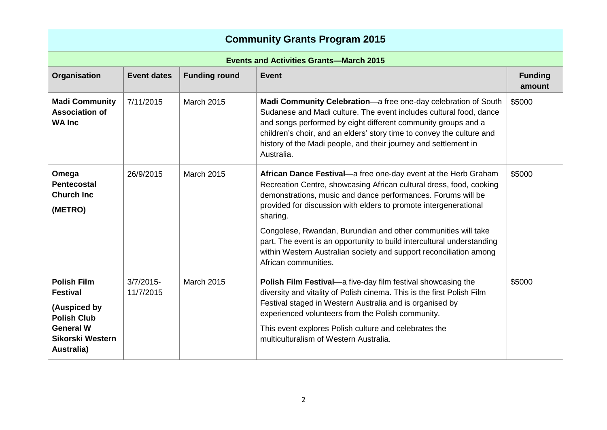| <b>Community Grants Program 2015</b>                                                                                                     |                           |                      |                                                                                                                                                                                                                                                                                                                                                                                                                                                                                                                                |                          |  |
|------------------------------------------------------------------------------------------------------------------------------------------|---------------------------|----------------------|--------------------------------------------------------------------------------------------------------------------------------------------------------------------------------------------------------------------------------------------------------------------------------------------------------------------------------------------------------------------------------------------------------------------------------------------------------------------------------------------------------------------------------|--------------------------|--|
| <b>Events and Activities Grants-March 2015</b>                                                                                           |                           |                      |                                                                                                                                                                                                                                                                                                                                                                                                                                                                                                                                |                          |  |
| Organisation                                                                                                                             | <b>Event dates</b>        | <b>Funding round</b> | <b>Event</b>                                                                                                                                                                                                                                                                                                                                                                                                                                                                                                                   | <b>Funding</b><br>amount |  |
| <b>Madi Community</b><br><b>Association of</b><br><b>WA Inc</b>                                                                          | 7/11/2015                 | <b>March 2015</b>    | Madi Community Celebration-a free one-day celebration of South<br>Sudanese and Madi culture. The event includes cultural food, dance<br>and songs performed by eight different community groups and a<br>children's choir, and an elders' story time to convey the culture and<br>history of the Madi people, and their journey and settlement in<br>Australia.                                                                                                                                                                | \$5000                   |  |
| Omega<br><b>Pentecostal</b><br><b>Church Inc</b><br>(METRO)                                                                              | 26/9/2015                 | <b>March 2015</b>    | African Dance Festival-a free one-day event at the Herb Graham<br>Recreation Centre, showcasing African cultural dress, food, cooking<br>demonstrations, music and dance performances. Forums will be<br>provided for discussion with elders to promote intergenerational<br>sharing.<br>Congolese, Rwandan, Burundian and other communities will take<br>part. The event is an opportunity to build intercultural understanding<br>within Western Australian society and support reconciliation among<br>African communities. | \$5000                   |  |
| <b>Polish Film</b><br><b>Festival</b><br>(Auspiced by<br><b>Polish Club</b><br><b>General W</b><br><b>Sikorski Western</b><br>Australia) | $3/7/2015$ -<br>11/7/2015 | March 2015           | Polish Film Festival-a five-day film festival showcasing the<br>diversity and vitality of Polish cinema. This is the first Polish Film<br>Festival staged in Western Australia and is organised by<br>experienced volunteers from the Polish community.<br>This event explores Polish culture and celebrates the<br>multiculturalism of Western Australia.                                                                                                                                                                     | \$5000                   |  |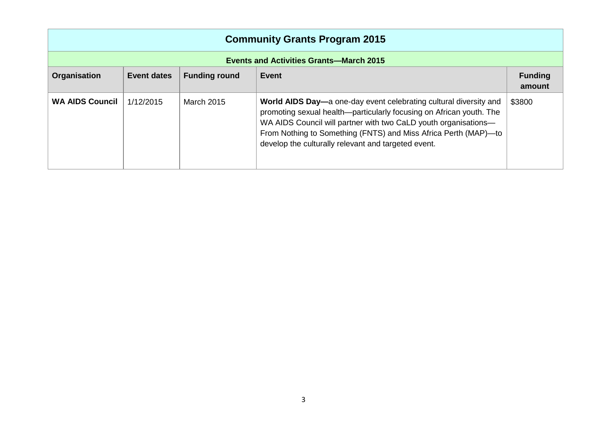| <b>Community Grants Program 2015</b>           |             |                      |                                                                                                                                                                                                                                                                                                                                       |                          |  |
|------------------------------------------------|-------------|----------------------|---------------------------------------------------------------------------------------------------------------------------------------------------------------------------------------------------------------------------------------------------------------------------------------------------------------------------------------|--------------------------|--|
| <b>Events and Activities Grants-March 2015</b> |             |                      |                                                                                                                                                                                                                                                                                                                                       |                          |  |
| <b>Organisation</b>                            | Event dates | <b>Funding round</b> | Event                                                                                                                                                                                                                                                                                                                                 | <b>Funding</b><br>amount |  |
| <b>WA AIDS Council</b>                         | 1/12/2015   | <b>March 2015</b>    | World AIDS Day—a one-day event celebrating cultural diversity and<br>promoting sexual health—particularly focusing on African youth. The<br>WA AIDS Council will partner with two CaLD youth organisations-<br>From Nothing to Something (FNTS) and Miss Africa Perth (MAP)-to<br>develop the culturally relevant and targeted event. | \$3800                   |  |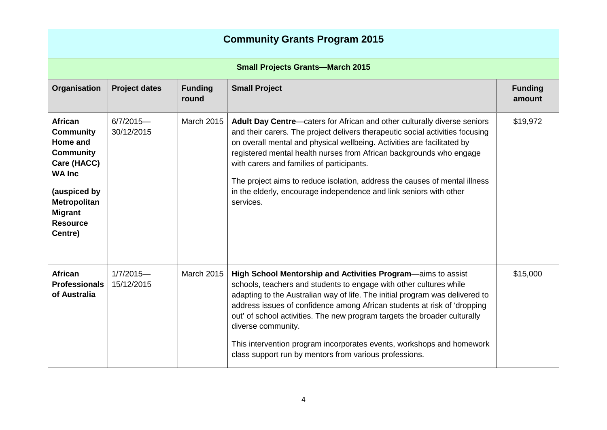| <b>Community Grants Program 2015</b>                                                                                                                                        |                                         |                         |                                                                                                                                                                                                                                                                                                                                                                                                                                                                                                                                      |                          |  |
|-----------------------------------------------------------------------------------------------------------------------------------------------------------------------------|-----------------------------------------|-------------------------|--------------------------------------------------------------------------------------------------------------------------------------------------------------------------------------------------------------------------------------------------------------------------------------------------------------------------------------------------------------------------------------------------------------------------------------------------------------------------------------------------------------------------------------|--------------------------|--|
|                                                                                                                                                                             | <b>Small Projects Grants-March 2015</b> |                         |                                                                                                                                                                                                                                                                                                                                                                                                                                                                                                                                      |                          |  |
| Organisation                                                                                                                                                                | <b>Project dates</b>                    | <b>Funding</b><br>round | <b>Small Project</b>                                                                                                                                                                                                                                                                                                                                                                                                                                                                                                                 | <b>Funding</b><br>amount |  |
| African<br><b>Community</b><br>Home and<br><b>Community</b><br>Care (HACC)<br><b>WA Inc</b><br>(auspiced by<br>Metropolitan<br><b>Migrant</b><br><b>Resource</b><br>Centre) | $6/7/2015 -$<br>30/12/2015              | <b>March 2015</b>       | Adult Day Centre-caters for African and other culturally diverse seniors<br>and their carers. The project delivers therapeutic social activities focusing<br>on overall mental and physical wellbeing. Activities are facilitated by<br>registered mental health nurses from African backgrounds who engage<br>with carers and families of participants.<br>The project aims to reduce isolation, address the causes of mental illness<br>in the elderly, encourage independence and link seniors with other<br>services.            | \$19,972                 |  |
| <b>African</b><br><b>Professionals</b><br>of Australia                                                                                                                      | $1/7/2015 -$<br>15/12/2015              | <b>March 2015</b>       | High School Mentorship and Activities Program-aims to assist<br>schools, teachers and students to engage with other cultures while<br>adapting to the Australian way of life. The initial program was delivered to<br>address issues of confidence among African students at risk of 'dropping<br>out' of school activities. The new program targets the broader culturally<br>diverse community.<br>This intervention program incorporates events, workshops and homework<br>class support run by mentors from various professions. | \$15,000                 |  |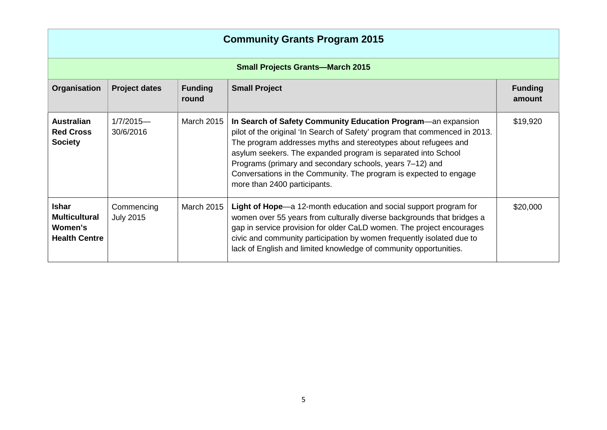| <b>Community Grants Program 2015</b>                                    |                                |                         |                                                                                                                                                                                                                                                                                                                                                                                                                                                 |                          |  |
|-------------------------------------------------------------------------|--------------------------------|-------------------------|-------------------------------------------------------------------------------------------------------------------------------------------------------------------------------------------------------------------------------------------------------------------------------------------------------------------------------------------------------------------------------------------------------------------------------------------------|--------------------------|--|
| <b>Small Projects Grants-March 2015</b>                                 |                                |                         |                                                                                                                                                                                                                                                                                                                                                                                                                                                 |                          |  |
| Organisation                                                            | <b>Project dates</b>           | <b>Funding</b><br>round | <b>Small Project</b>                                                                                                                                                                                                                                                                                                                                                                                                                            | <b>Funding</b><br>amount |  |
| <b>Australian</b><br><b>Red Cross</b><br><b>Society</b>                 | $1/7/2015$ —<br>30/6/2016      | <b>March 2015</b>       | In Search of Safety Community Education Program—an expansion<br>pilot of the original 'In Search of Safety' program that commenced in 2013.<br>The program addresses myths and stereotypes about refugees and<br>asylum seekers. The expanded program is separated into School<br>Programs (primary and secondary schools, years 7–12) and<br>Conversations in the Community. The program is expected to engage<br>more than 2400 participants. | \$19,920                 |  |
| <b>Ishar</b><br><b>Multicultural</b><br>Women's<br><b>Health Centre</b> | Commencing<br><b>July 2015</b> | <b>March 2015</b>       | Light of Hope—a 12-month education and social support program for<br>women over 55 years from culturally diverse backgrounds that bridges a<br>gap in service provision for older CaLD women. The project encourages<br>civic and community participation by women frequently isolated due to<br>lack of English and limited knowledge of community opportunities.                                                                              | \$20,000                 |  |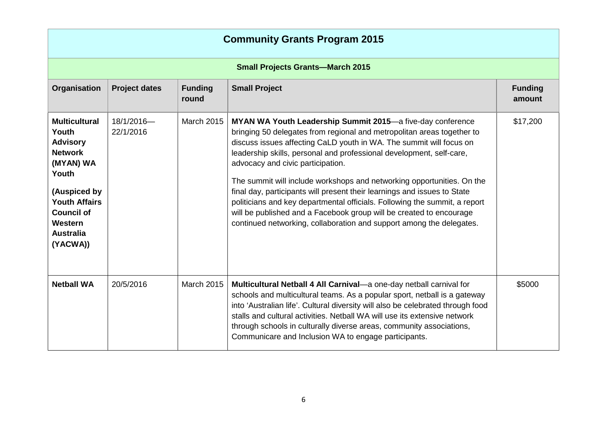| <b>Community Grants Program 2015</b>                                                                                                                                                             |                         |                         |                                                                                                                                                                                                                                                                                                                                                                                                                                                                                                                                                                                                                                                                                                             |                          |  |
|--------------------------------------------------------------------------------------------------------------------------------------------------------------------------------------------------|-------------------------|-------------------------|-------------------------------------------------------------------------------------------------------------------------------------------------------------------------------------------------------------------------------------------------------------------------------------------------------------------------------------------------------------------------------------------------------------------------------------------------------------------------------------------------------------------------------------------------------------------------------------------------------------------------------------------------------------------------------------------------------------|--------------------------|--|
| <b>Small Projects Grants-March 2015</b>                                                                                                                                                          |                         |                         |                                                                                                                                                                                                                                                                                                                                                                                                                                                                                                                                                                                                                                                                                                             |                          |  |
| Organisation                                                                                                                                                                                     | <b>Project dates</b>    | <b>Funding</b><br>round | <b>Small Project</b>                                                                                                                                                                                                                                                                                                                                                                                                                                                                                                                                                                                                                                                                                        | <b>Funding</b><br>amount |  |
| <b>Multicultural</b><br>Youth<br><b>Advisory</b><br><b>Network</b><br>(MYAN) WA<br>Youth<br>(Auspiced by<br><b>Youth Affairs</b><br><b>Council of</b><br>Western<br><b>Australia</b><br>(YACWA)) | 18/1/2016-<br>22/1/2016 | <b>March 2015</b>       | MYAN WA Youth Leadership Summit 2015-a five-day conference<br>bringing 50 delegates from regional and metropolitan areas together to<br>discuss issues affecting CaLD youth in WA. The summit will focus on<br>leadership skills, personal and professional development, self-care,<br>advocacy and civic participation.<br>The summit will include workshops and networking opportunities. On the<br>final day, participants will present their learnings and issues to State<br>politicians and key departmental officials. Following the summit, a report<br>will be published and a Facebook group will be created to encourage<br>continued networking, collaboration and support among the delegates. | \$17,200                 |  |
| <b>Netball WA</b>                                                                                                                                                                                | 20/5/2016               | <b>March 2015</b>       | Multicultural Netball 4 All Carnival-a one-day netball carnival for<br>schools and multicultural teams. As a popular sport, netball is a gateway<br>into 'Australian life'. Cultural diversity will also be celebrated through food<br>stalls and cultural activities. Netball WA will use its extensive network<br>through schools in culturally diverse areas, community associations,<br>Communicare and Inclusion WA to engage participants.                                                                                                                                                                                                                                                            | \$5000                   |  |